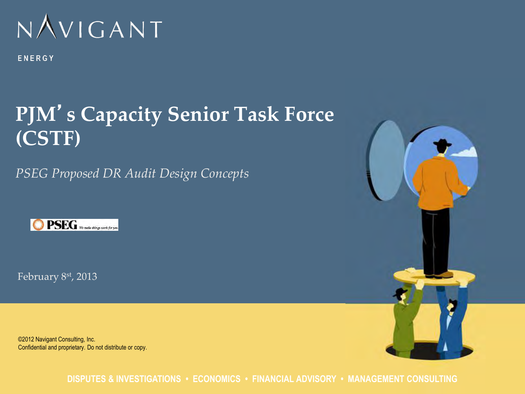

ENERGY

### **PJM**'**s Capacity Senior Task Force (CSTF)**

*PSEG Proposed DR Audit Design Concepts* 



February 8st, 2013

©2012 Navigant Consulting, Inc. Confidential and proprietary. Do not distribute or copy.



**DISPUTES & INVESTIGATIONS • ECONOMICS • FINANCIAL ADVISORY • MANAGEMENT CONSULTING**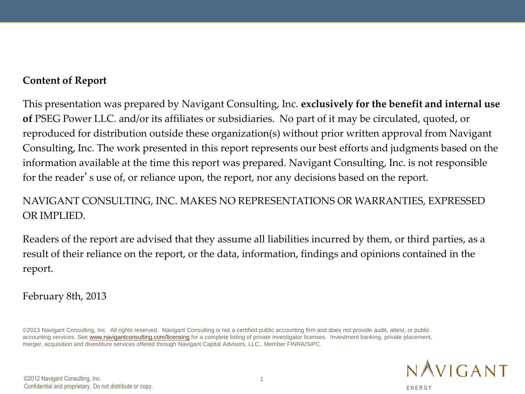#### **Content of Report**

This presentation was prepared by Navigant Consulting, Inc. **exclusively for the benefit and internal use of** PSEG Power LLC. and/or its affiliates or subsidiaries. No part of it may be circulated, quoted, or reproduced for distribution outside these organization(s) without prior written approval from Navigant Consulting, Inc. The work presented in this report represents our best efforts and judgments based on the information available at the time this report was prepared. Navigant Consulting, Inc. is not responsible for the reader's use of, or reliance upon, the report, nor any decisions based on the report.

#### NAVIGANT CONSULTING, INC. MAKES NO REPRESENTATIONS OR WARRANTIES, EXPRESSED OR IMPLIED.

Readers of the report are advised that they assume all liabilities incurred by them, or third parties, as a result of their reliance on the report, or the data, information, findings and opinions contained in the report.

February 8th, 2013

©2013 Navigant Consulting, Inc. All rights reserved. Navigant Consulting is not a certified public accounting firm and does not provide audit, attest, or public accounting services. See [www.navigantconsulting.com/licensing](http://www.navigantconsulting.com/licensing) for a complete listing of private investigator licenses. Investment banking, private placement, merger, acquisition and divestiture services offered through Navigant Capital Advisors, LLC., Member FINRA/SIPC.

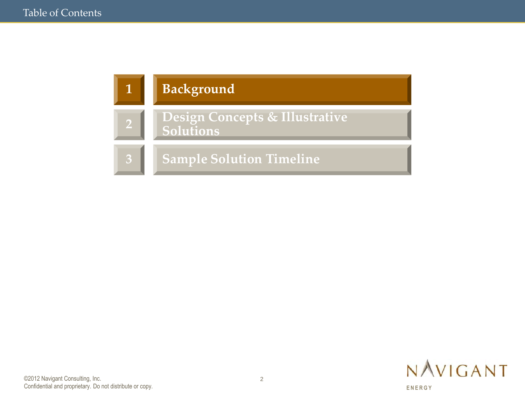

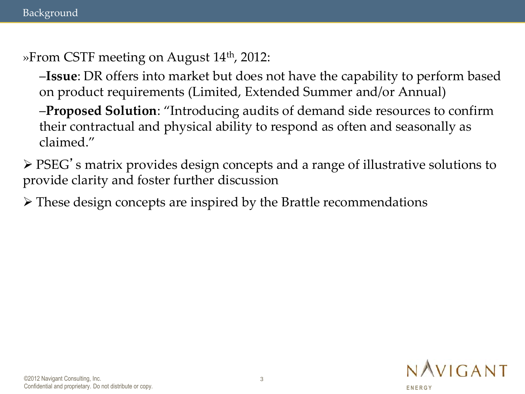»From CSTF meeting on August 14<sup>th</sup>, 2012:

–**Issue**: DR offers into market but does not have the capability to perform based on product requirements (Limited, Extended Summer and/or Annual)

–**Proposed Solution**: "Introducing audits of demand side resources to confirm their contractual and physical ability to respond as often and seasonally as claimed."

 PSEG's matrix provides design concepts and a range of illustrative solutions to provide clarity and foster further discussion

These design concepts are inspired by the Brattle recommendations

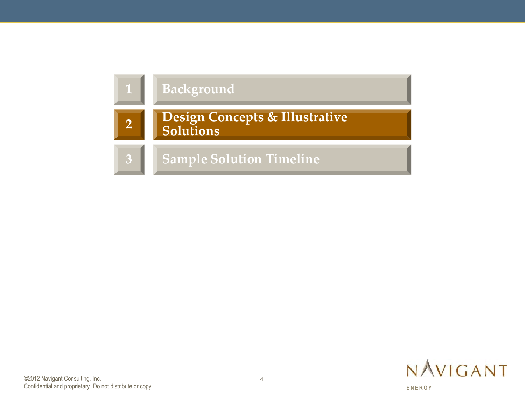

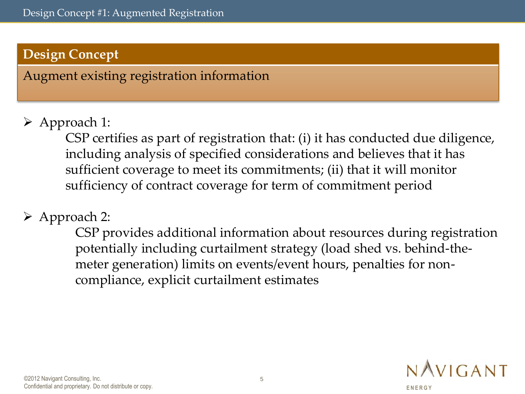Augment existing registration information

Approach 1:

 CSP certifies as part of registration that: (i) it has conducted due diligence, including analysis of specified considerations and believes that it has sufficient coverage to meet its commitments; (ii) that it will monitor sufficiency of contract coverage for term of commitment period

### Approach 2:

CSP provides additional information about resources during registration potentially including curtailment strategy (load shed vs. behind-themeter generation) limits on events/event hours, penalties for noncompliance, explicit curtailment estimates

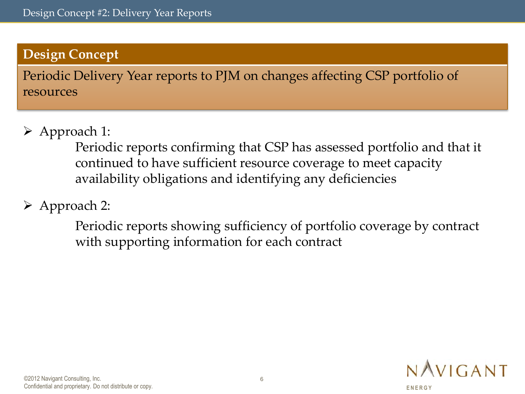Periodic Delivery Year reports to PJM on changes affecting CSP portfolio of resources

Approach 1:

Periodic reports confirming that CSP has assessed portfolio and that it continued to have sufficient resource coverage to meet capacity availability obligations and identifying any deficiencies

Approach 2:

Periodic reports showing sufficiency of portfolio coverage by contract with supporting information for each contract

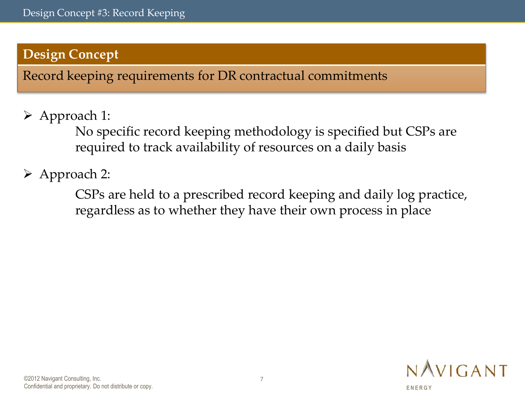Record keeping requirements for DR contractual commitments

Approach 1:

No specific record keeping methodology is specified but CSPs are required to track availability of resources on a daily basis

Approach 2:

CSPs are held to a prescribed record keeping and daily log practice, regardless as to whether they have their own process in place

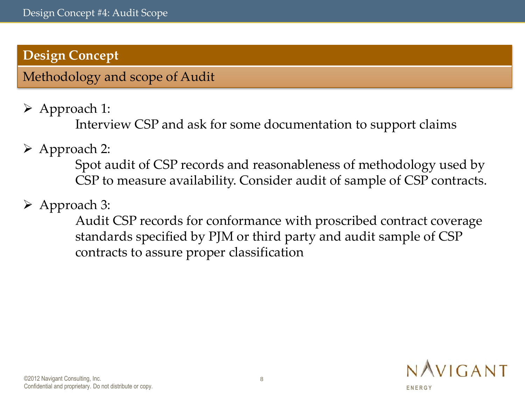Methodology and scope of Audit

Approach 1:

Interview CSP and ask for some documentation to support claims

Approach 2:

Spot audit of CSP records and reasonableness of methodology used by CSP to measure availability. Consider audit of sample of CSP contracts.

Approach 3:

Audit CSP records for conformance with proscribed contract coverage standards specified by PJM or third party and audit sample of CSP contracts to assure proper classification

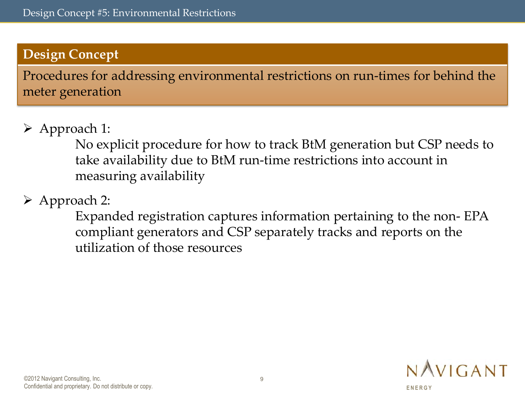Procedures for addressing environmental restrictions on run-times for behind the meter generation

#### Approach 1:

No explicit procedure for how to track BtM generation but CSP needs to take availability due to BtM run-time restrictions into account in measuring availability

### Approach 2:

Expanded registration captures information pertaining to the non- EPA compliant generators and CSP separately tracks and reports on the utilization of those resources

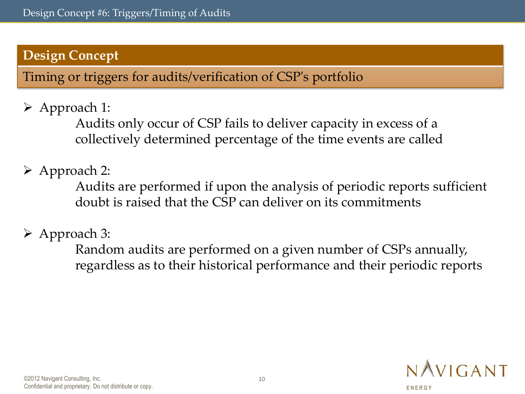Timing or triggers for audits/verification of CSP's portfolio

Approach 1:

Audits only occur of CSP fails to deliver capacity in excess of a collectively determined percentage of the time events are called

Approach 2:

Audits are performed if upon the analysis of periodic reports sufficient doubt is raised that the CSP can deliver on its commitments

Approach 3:

Random audits are performed on a given number of CSPs annually, regardless as to their historical performance and their periodic reports

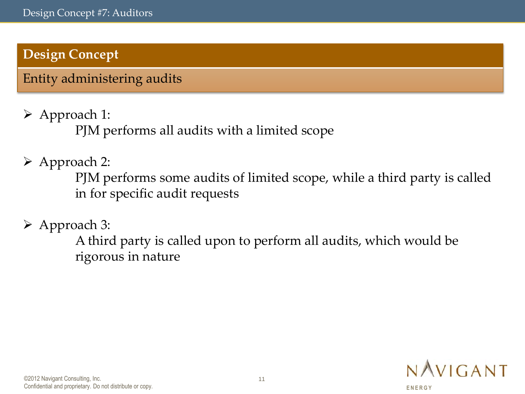Entity administering audits

Approach 1:

PJM performs all audits with a limited scope

Approach 2:

PJM performs some audits of limited scope, while a third party is called in for specific audit requests

Approach 3:

A third party is called upon to perform all audits, which would be rigorous in nature

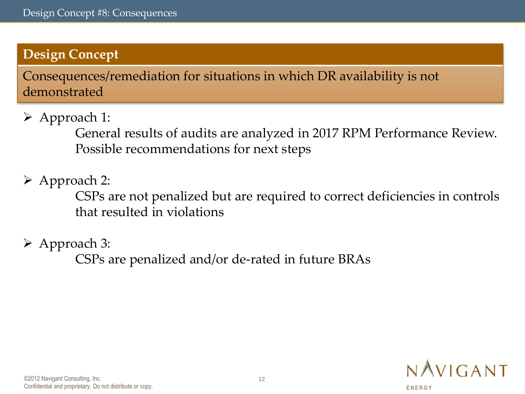Consequences/remediation for situations in which DR availability is not demonstrated

Approach 1:

General results of audits are analyzed in 2017 RPM Performance Review. Possible recommendations for next steps

Approach 2:

CSPs are not penalized but are required to correct deficiencies in controls that resulted in violations

Approach 3:

CSPs are penalized and/or de-rated in future BRAs

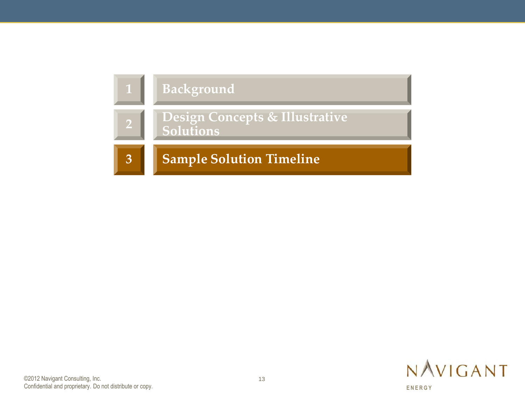

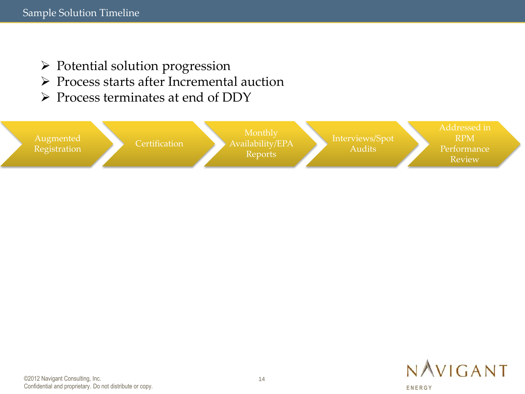- $\triangleright$  Potential solution progression
- Process starts after Incremental auction
- $\triangleright$  Process terminates at end of DDY